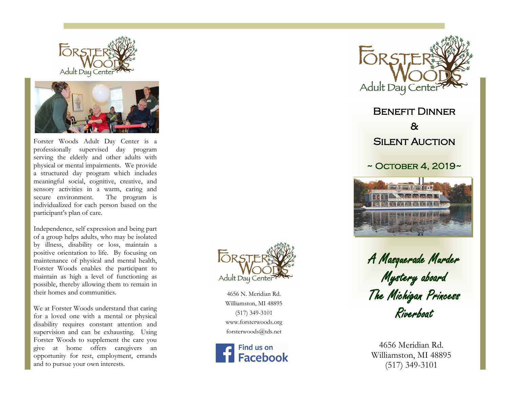



Forster Woods Adult Day Center is a professionally supervised day program serving the elderly and other adults with physical or mental impairments. We provide a structured day program which includes meaningful social, cognitive, creative, and sensory activities in a warm, caring and secure environment. The program is individualized for each person based on the participant's plan of care.

Independence, self expression and being part of a group helps adults, who may be isolated by illness, disability or loss, maintain a positive orientation to life. By focusing on maintenance of physical and mental health, Forster Woods enables the participant to maintain as high a level of functioning as possible, thereby allowing them to remain in their homes and communities.

We at Forster Woods understand that caring for a loved one with a mental or physical disability requires constant attention and supervision and can be exhausting. Using Forster Woods to supplement the care you give at home offers caregivers an opportunity for rest, employment, errands and to pursue your own interests.



4656 N. Meridian Rd. Williamston, MI 48895 (517) 349 -3101 www.forsterwoods.org forsterwoods@tds.net





Benefit Dinner & **SILENT AUCTION** 

## $\sim$  October 4, 2019 $\sim$



A Masquerade Murder Mystery aboard The Michigan Princess Riverboat

4656 Meridian Rd. Williamston, MI 48895 (517) 349 -3101